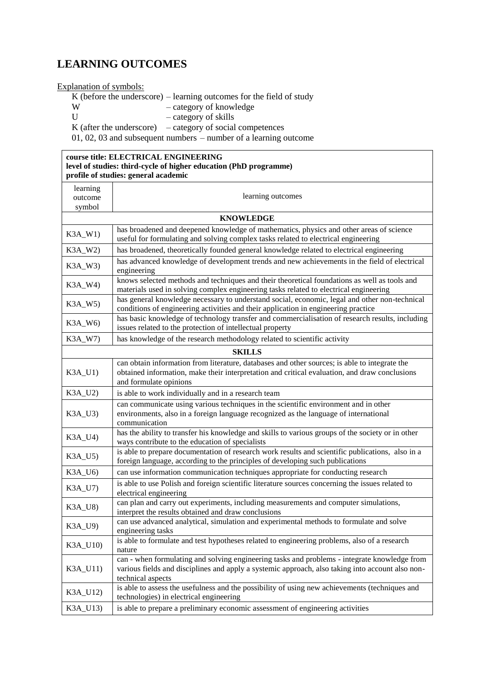## **LEARNING OUTCOMES**

Explanation of symbols:

K (before the underscore) – learning outcomes for the field of study<br> $-$  category of knowledge

- category of knowledge
- U category of skills

K (after the underscore)  $-$  category of social competences

01, 02, 03 and subsequent numbers – number of a learning outcome

| course title: ELECTRICAL ENGINEERING<br>level of studies: third-cycle of higher education (PhD programme)<br>profile of studies: general academic |                                                                                                                                                                                                                          |  |
|---------------------------------------------------------------------------------------------------------------------------------------------------|--------------------------------------------------------------------------------------------------------------------------------------------------------------------------------------------------------------------------|--|
| learning<br>outcome<br>symbol                                                                                                                     | learning outcomes                                                                                                                                                                                                        |  |
| <b>KNOWLEDGE</b>                                                                                                                                  |                                                                                                                                                                                                                          |  |
| K3A_W1)                                                                                                                                           | has broadened and deepened knowledge of mathematics, physics and other areas of science<br>useful for formulating and solving complex tasks related to electrical engineering                                            |  |
| K3A_W2)                                                                                                                                           | has broadened, theoretically founded general knowledge related to electrical engineering                                                                                                                                 |  |
| K3A_W3)                                                                                                                                           | has advanced knowledge of development trends and new achievements in the field of electrical<br>engineering                                                                                                              |  |
| K3A_W4)                                                                                                                                           | knows selected methods and techniques and their theoretical foundations as well as tools and<br>materials used in solving complex engineering tasks related to electrical engineering                                    |  |
| K3A_W5)                                                                                                                                           | has general knowledge necessary to understand social, economic, legal and other non-technical<br>conditions of engineering activities and their application in engineering practice                                      |  |
| K3A_W6)                                                                                                                                           | has basic knowledge of technology transfer and commercialisation of research results, including<br>issues related to the protection of intellectual property                                                             |  |
| K3A_W7)                                                                                                                                           | has knowledge of the research methodology related to scientific activity                                                                                                                                                 |  |
|                                                                                                                                                   | <b>SKILLS</b>                                                                                                                                                                                                            |  |
| K3A_U1)                                                                                                                                           | can obtain information from literature, databases and other sources; is able to integrate the<br>obtained information, make their interpretation and critical evaluation, and draw conclusions<br>and formulate opinions |  |
| K3A_U2)                                                                                                                                           | is able to work individually and in a research team                                                                                                                                                                      |  |
| $K3A$ _U3)                                                                                                                                        | can communicate using various techniques in the scientific environment and in other<br>environments, also in a foreign language recognized as the language of international<br>communication                             |  |
| K3A_U4)                                                                                                                                           | has the ability to transfer his knowledge and skills to various groups of the society or in other<br>ways contribute to the education of specialists                                                                     |  |
| $K3A$ _U5)                                                                                                                                        | is able to prepare documentation of research work results and scientific publications, also in a<br>foreign language, according to the principles of developing such publications                                        |  |
| $K3A_U6$                                                                                                                                          | can use information communication techniques appropriate for conducting research                                                                                                                                         |  |
| K3A_U7)                                                                                                                                           | is able to use Polish and foreign scientific literature sources concerning the issues related to<br>electrical engineering                                                                                               |  |
| K3A_U8)                                                                                                                                           | can plan and carry out experiments, including measurements and computer simulations,<br>interpret the results obtained and draw conclusions                                                                              |  |
| K3A_U9)                                                                                                                                           | can use advanced analytical, simulation and experimental methods to formulate and solve<br>engineering tasks                                                                                                             |  |
| K3A_U10)                                                                                                                                          | is able to formulate and test hypotheses related to engineering problems, also of a research<br>nature                                                                                                                   |  |
| K3A_U11)                                                                                                                                          | can - when formulating and solving engineering tasks and problems - integrate knowledge from<br>various fields and disciplines and apply a systemic approach, also taking into account also non-<br>technical aspects    |  |
| K3A_U12)                                                                                                                                          | is able to assess the usefulness and the possibility of using new achievements (techniques and<br>technologies) in electrical engineering                                                                                |  |
| K3A_U13)                                                                                                                                          | is able to prepare a preliminary economic assessment of engineering activities                                                                                                                                           |  |